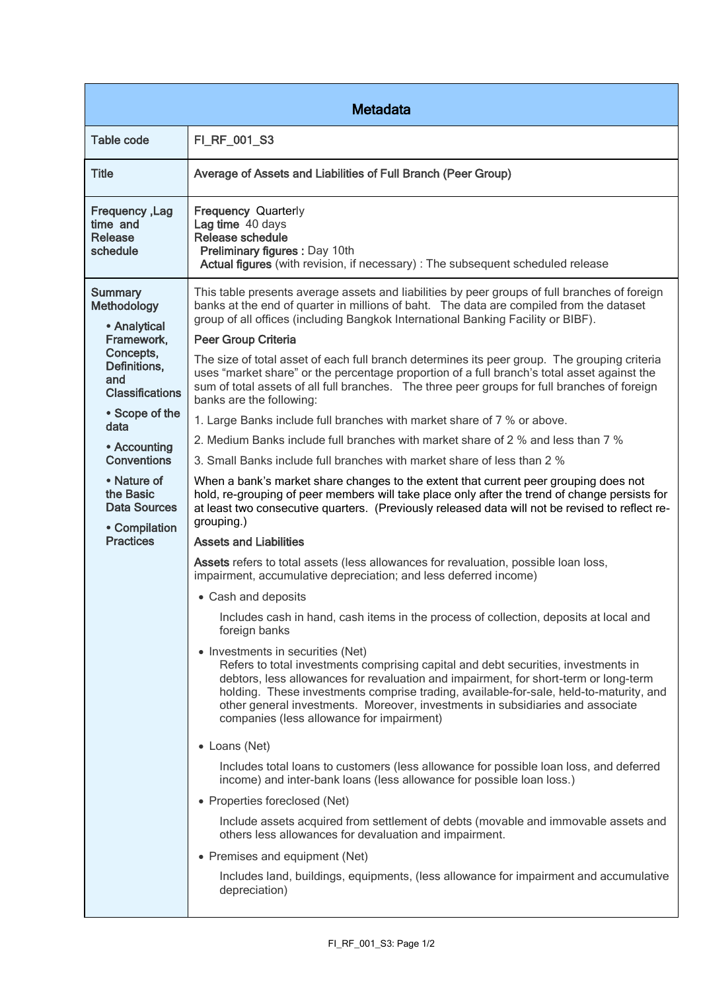| <b>Metadata</b>                                                                                                                                                                                                                                                                   |                                                                                                                                                                                                                                                                                                                                                                                                                                                                                                                                                                                                                                                                                                                                                                                                                                                                                                                                                                                                                                                                                                                                                                                                                                                                                                                                                                                                                                                                                                                                                                                                                                                                                                                                                                                                                                                                                                                                                                                                                                                                                                                                                                                                                                                                                                                                         |  |
|-----------------------------------------------------------------------------------------------------------------------------------------------------------------------------------------------------------------------------------------------------------------------------------|-----------------------------------------------------------------------------------------------------------------------------------------------------------------------------------------------------------------------------------------------------------------------------------------------------------------------------------------------------------------------------------------------------------------------------------------------------------------------------------------------------------------------------------------------------------------------------------------------------------------------------------------------------------------------------------------------------------------------------------------------------------------------------------------------------------------------------------------------------------------------------------------------------------------------------------------------------------------------------------------------------------------------------------------------------------------------------------------------------------------------------------------------------------------------------------------------------------------------------------------------------------------------------------------------------------------------------------------------------------------------------------------------------------------------------------------------------------------------------------------------------------------------------------------------------------------------------------------------------------------------------------------------------------------------------------------------------------------------------------------------------------------------------------------------------------------------------------------------------------------------------------------------------------------------------------------------------------------------------------------------------------------------------------------------------------------------------------------------------------------------------------------------------------------------------------------------------------------------------------------------------------------------------------------------------------------------------------------|--|
| <b>Table code</b>                                                                                                                                                                                                                                                                 | FI_RF_001_S3                                                                                                                                                                                                                                                                                                                                                                                                                                                                                                                                                                                                                                                                                                                                                                                                                                                                                                                                                                                                                                                                                                                                                                                                                                                                                                                                                                                                                                                                                                                                                                                                                                                                                                                                                                                                                                                                                                                                                                                                                                                                                                                                                                                                                                                                                                                            |  |
| <b>Title</b>                                                                                                                                                                                                                                                                      | Average of Assets and Liabilities of Full Branch (Peer Group)                                                                                                                                                                                                                                                                                                                                                                                                                                                                                                                                                                                                                                                                                                                                                                                                                                                                                                                                                                                                                                                                                                                                                                                                                                                                                                                                                                                                                                                                                                                                                                                                                                                                                                                                                                                                                                                                                                                                                                                                                                                                                                                                                                                                                                                                           |  |
| Frequency, Lag<br>time and<br>Release<br>schedule                                                                                                                                                                                                                                 | <b>Frequency Quarterly</b><br>Lag time 40 days<br>Release schedule<br>Preliminary figures : Day 10th<br>Actual figures (with revision, if necessary) : The subsequent scheduled release                                                                                                                                                                                                                                                                                                                                                                                                                                                                                                                                                                                                                                                                                                                                                                                                                                                                                                                                                                                                                                                                                                                                                                                                                                                                                                                                                                                                                                                                                                                                                                                                                                                                                                                                                                                                                                                                                                                                                                                                                                                                                                                                                 |  |
| <b>Summary</b><br>Methodology<br>• Analytical<br>Framework,<br>Concepts,<br>Definitions,<br>and<br><b>Classifications</b><br>• Scope of the<br>data<br>• Accounting<br><b>Conventions</b><br>• Nature of<br>the Basic<br><b>Data Sources</b><br>• Compilation<br><b>Practices</b> | This table presents average assets and liabilities by peer groups of full branches of foreign<br>banks at the end of quarter in millions of baht. The data are compiled from the dataset<br>group of all offices (including Bangkok International Banking Facility or BIBF).<br><b>Peer Group Criteria</b><br>The size of total asset of each full branch determines its peer group. The grouping criteria<br>uses "market share" or the percentage proportion of a full branch's total asset against the<br>sum of total assets of all full branches. The three peer groups for full branches of foreign<br>banks are the following:<br>1. Large Banks include full branches with market share of 7 % or above.<br>2. Medium Banks include full branches with market share of 2 % and less than 7 %<br>3. Small Banks include full branches with market share of less than 2 %<br>When a bank's market share changes to the extent that current peer grouping does not<br>hold, re-grouping of peer members will take place only after the trend of change persists for<br>at least two consecutive quarters. (Previously released data will not be revised to reflect re-<br>grouping.)<br><b>Assets and Liabilities</b><br>Assets refers to total assets (less allowances for revaluation, possible loan loss,<br>impairment, accumulative depreciation; and less deferred income)<br>• Cash and deposits<br>Includes cash in hand, cash items in the process of collection, deposits at local and<br>foreign banks<br>• Investments in securities (Net)<br>Refers to total investments comprising capital and debt securities, investments in<br>debtors, less allowances for revaluation and impairment, for short-term or long-term<br>holding. These investments comprise trading, available-for-sale, held-to-maturity, and<br>other general investments. Moreover, investments in subsidiaries and associate<br>companies (less allowance for impairment)<br>• Loans (Net)<br>Includes total loans to customers (less allowance for possible loan loss, and deferred<br>income) and inter-bank loans (less allowance for possible loan loss.)<br>• Properties foreclosed (Net)<br>Include assets acquired from settlement of debts (movable and immovable assets and<br>others less allowances for devaluation and impairment. |  |
|                                                                                                                                                                                                                                                                                   | • Premises and equipment (Net)<br>Includes land, buildings, equipments, (less allowance for impairment and accumulative<br>depreciation)                                                                                                                                                                                                                                                                                                                                                                                                                                                                                                                                                                                                                                                                                                                                                                                                                                                                                                                                                                                                                                                                                                                                                                                                                                                                                                                                                                                                                                                                                                                                                                                                                                                                                                                                                                                                                                                                                                                                                                                                                                                                                                                                                                                                |  |